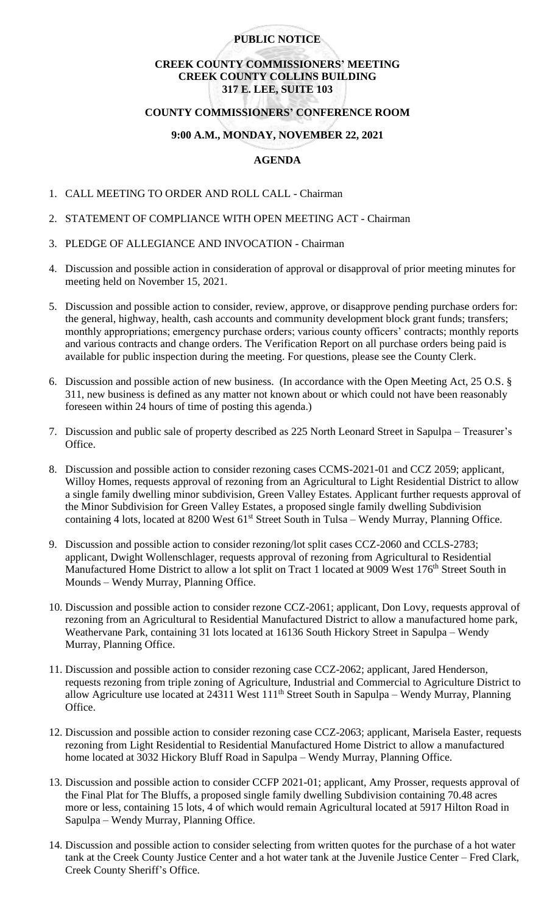## **PUBLIC NOTICE**

## **CREEK COUNTY COMMISSIONERS' MEETING CREEK COUNTY COLLINS BUILDING 317 E. LEE, SUITE 103**

#### **COUNTY COMMISSIONERS' CONFERENCE ROOM**

# **9:00 A.M., MONDAY, NOVEMBER 22, 2021**

# **AGENDA**

- 1. CALL MEETING TO ORDER AND ROLL CALL Chairman
- 2. STATEMENT OF COMPLIANCE WITH OPEN MEETING ACT Chairman
- 3. PLEDGE OF ALLEGIANCE AND INVOCATION Chairman
- 4. Discussion and possible action in consideration of approval or disapproval of prior meeting minutes for meeting held on November 15, 2021.
- 5. Discussion and possible action to consider, review, approve, or disapprove pending purchase orders for: the general, highway, health, cash accounts and community development block grant funds; transfers; monthly appropriations; emergency purchase orders; various county officers' contracts; monthly reports and various contracts and change orders. The Verification Report on all purchase orders being paid is available for public inspection during the meeting. For questions, please see the County Clerk.
- 6. Discussion and possible action of new business. (In accordance with the Open Meeting Act, 25 O.S. § 311, new business is defined as any matter not known about or which could not have been reasonably foreseen within 24 hours of time of posting this agenda.)
- 7. Discussion and public sale of property described as 225 North Leonard Street in Sapulpa Treasurer's Office.
- 8. Discussion and possible action to consider rezoning cases CCMS-2021-01 and CCZ 2059; applicant, Willoy Homes, requests approval of rezoning from an Agricultural to Light Residential District to allow a single family dwelling minor subdivision, Green Valley Estates. Applicant further requests approval of the Minor Subdivision for Green Valley Estates, a proposed single family dwelling Subdivision containing 4 lots, located at 8200 West 61<sup>st</sup> Street South in Tulsa – Wendy Murray, Planning Office.
- 9. Discussion and possible action to consider rezoning/lot split cases CCZ-2060 and CCLS-2783; applicant, Dwight Wollenschlager, requests approval of rezoning from Agricultural to Residential Manufactured Home District to allow a lot split on Tract 1 located at 9009 West 176<sup>th</sup> Street South in Mounds – Wendy Murray, Planning Office.
- 10. Discussion and possible action to consider rezone CCZ-2061; applicant, Don Lovy, requests approval of rezoning from an Agricultural to Residential Manufactured District to allow a manufactured home park, Weathervane Park, containing 31 lots located at 16136 South Hickory Street in Sapulpa – Wendy Murray, Planning Office.
- 11. Discussion and possible action to consider rezoning case CCZ-2062; applicant, Jared Henderson, requests rezoning from triple zoning of Agriculture, Industrial and Commercial to Agriculture District to allow Agriculture use located at 24311 West 111<sup>th</sup> Street South in Sapulpa – Wendy Murray, Planning Office.
- 12. Discussion and possible action to consider rezoning case CCZ-2063; applicant, Marisela Easter, requests rezoning from Light Residential to Residential Manufactured Home District to allow a manufactured home located at 3032 Hickory Bluff Road in Sapulpa – Wendy Murray, Planning Office.
- 13. Discussion and possible action to consider CCFP 2021-01; applicant, Amy Prosser, requests approval of the Final Plat for The Bluffs, a proposed single family dwelling Subdivision containing 70.48 acres more or less, containing 15 lots, 4 of which would remain Agricultural located at 5917 Hilton Road in Sapulpa – Wendy Murray, Planning Office.
- 14. Discussion and possible action to consider selecting from written quotes for the purchase of a hot water tank at the Creek County Justice Center and a hot water tank at the Juvenile Justice Center – Fred Clark, Creek County Sheriff's Office.